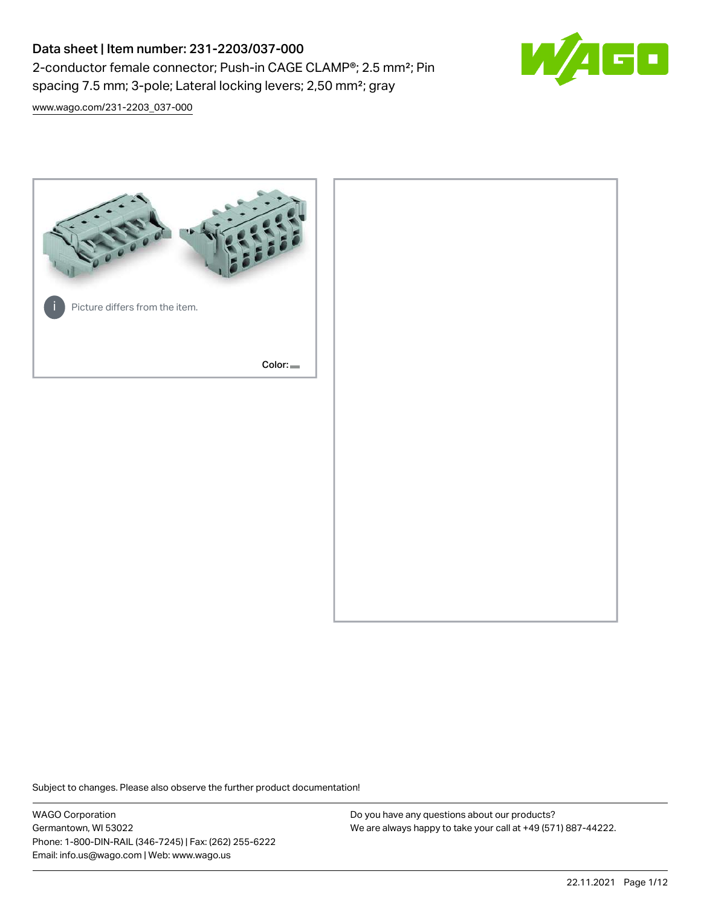# Data sheet | Item number: 231-2203/037-000 2-conductor female connector; Push-in CAGE CLAMP®; 2.5 mm²; Pin spacing 7.5 mm; 3-pole; Lateral locking levers; 2,50 mm²; gray



[www.wago.com/231-2203\\_037-000](http://www.wago.com/231-2203_037-000)



Subject to changes. Please also observe the further product documentation!

WAGO Corporation Germantown, WI 53022 Phone: 1-800-DIN-RAIL (346-7245) | Fax: (262) 255-6222 Email: info.us@wago.com | Web: www.wago.us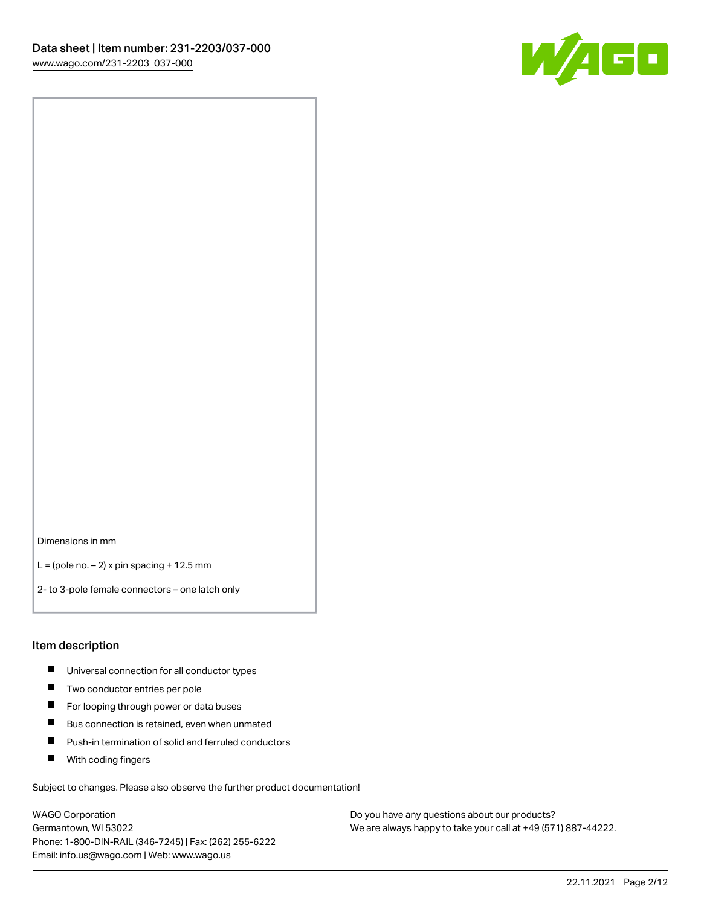

Dimensions in mm

 $L =$  (pole no.  $-2$ ) x pin spacing + 12.5 mm

2- to 3-pole female connectors – one latch only

### Item description

- **Universal connection for all conductor types**
- **Two conductor entries per pole**
- $\blacksquare$ For looping through power or data buses
- $\blacksquare$ Bus connection is retained, even when unmated
- $\blacksquare$ Push-in termination of solid and ferruled conductors
- $\blacksquare$ With coding fingers

Subject to changes. Please also observe the further product documentation!

WAGO Corporation Germantown, WI 53022 Phone: 1-800-DIN-RAIL (346-7245) | Fax: (262) 255-6222 Email: info.us@wago.com | Web: www.wago.us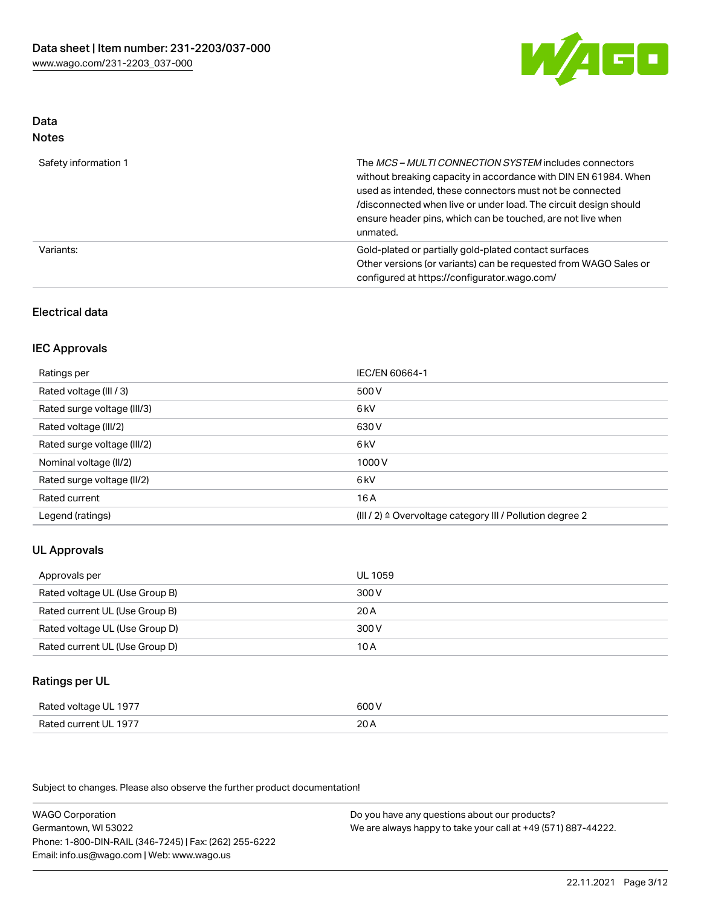

#### Data Notes

| .                    |                                                                                                                                                                                                                                                                                                                                   |
|----------------------|-----------------------------------------------------------------------------------------------------------------------------------------------------------------------------------------------------------------------------------------------------------------------------------------------------------------------------------|
| Safety information 1 | The MCS-MULTI CONNECTION SYSTEM includes connectors<br>without breaking capacity in accordance with DIN EN 61984. When<br>used as intended, these connectors must not be connected<br>/disconnected when live or under load. The circuit design should<br>ensure header pins, which can be touched, are not live when<br>unmated. |
| Variants:            | Gold-plated or partially gold-plated contact surfaces<br>Other versions (or variants) can be requested from WAGO Sales or<br>configured at https://configurator.wago.com/                                                                                                                                                         |

# Electrical data

# IEC Approvals

| Ratings per                 | IEC/EN 60664-1                                                        |
|-----------------------------|-----------------------------------------------------------------------|
| Rated voltage (III / 3)     | 500 V                                                                 |
| Rated surge voltage (III/3) | 6 <sub>k</sub> V                                                      |
| Rated voltage (III/2)       | 630 V                                                                 |
| Rated surge voltage (III/2) | 6 <sub>k</sub> V                                                      |
| Nominal voltage (II/2)      | 1000 V                                                                |
| Rated surge voltage (II/2)  | 6 kV                                                                  |
| Rated current               | 16 A                                                                  |
| Legend (ratings)            | $(III / 2)$ $\triangle$ Overvoltage category III / Pollution degree 2 |

# UL Approvals

| Approvals per                  | UL 1059 |
|--------------------------------|---------|
| Rated voltage UL (Use Group B) | 300 V   |
| Rated current UL (Use Group B) | 20 A    |
| Rated voltage UL (Use Group D) | 300 V   |
| Rated current UL (Use Group D) | 10 A    |

# Ratings per UL

| Rated voltage UL 1977 | 600 V |
|-----------------------|-------|
| Rated current UL 1977 | 20A   |

Subject to changes. Please also observe the further product documentation!

WAGO Corporation Germantown, WI 53022 Phone: 1-800-DIN-RAIL (346-7245) | Fax: (262) 255-6222 Email: info.us@wago.com | Web: www.wago.us Do you have any questions about our products? We are always happy to take your call at +49 (571) 887-44222.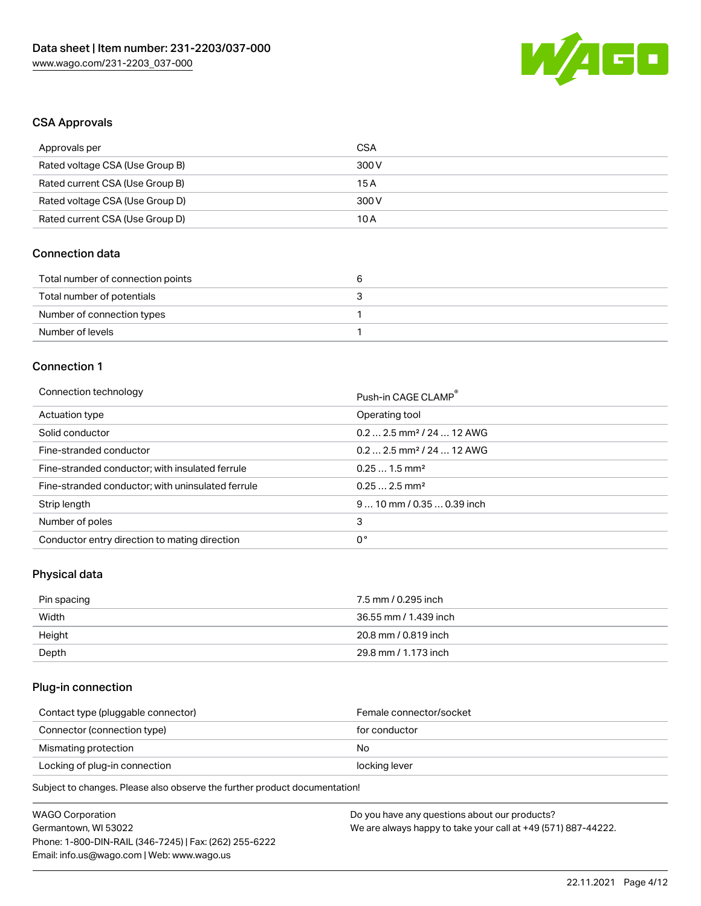

# CSA Approvals

| Approvals per                   | CSA   |
|---------------------------------|-------|
| Rated voltage CSA (Use Group B) | 300 V |
| Rated current CSA (Use Group B) | 15 A  |
| Rated voltage CSA (Use Group D) | 300 V |
| Rated current CSA (Use Group D) | 10 A  |

# Connection data

| Total number of connection points |  |
|-----------------------------------|--|
| Total number of potentials        |  |
| Number of connection types        |  |
| Number of levels                  |  |

# Connection 1

#### Connection technology **Push-in CAGE CLAMP<sup>®</sup>**

| ັ                                                 | Push-in CAGE CLAMP                    |
|---------------------------------------------------|---------------------------------------|
| Actuation type                                    | Operating tool                        |
| Solid conductor                                   | $0.22.5$ mm <sup>2</sup> / 24  12 AWG |
| Fine-stranded conductor                           | $0.22.5$ mm <sup>2</sup> / 24  12 AWG |
| Fine-stranded conductor; with insulated ferrule   | $0.251.5$ mm <sup>2</sup>             |
| Fine-stranded conductor; with uninsulated ferrule | $0.252.5$ mm <sup>2</sup>             |
| Strip length                                      | $910$ mm / 0.35  0.39 inch            |
| Number of poles                                   | 3                                     |
| Conductor entry direction to mating direction     | 0°                                    |

# Physical data

| Pin spacing | 7.5 mm / 0.295 inch   |
|-------------|-----------------------|
| Width       | 36.55 mm / 1.439 inch |
| Height      | 20.8 mm / 0.819 inch  |
| Depth       | 29.8 mm / 1.173 inch  |

# Plug-in connection

| Female connector/socket |
|-------------------------|
| for conductor           |
| No.                     |
| locking lever           |
|                         |

Subject to changes. Please also observe the further product documentation!

| <b>WAGO Corporation</b>                                | Do you have any questions about our products?                 |
|--------------------------------------------------------|---------------------------------------------------------------|
| Germantown, WI 53022                                   | We are always happy to take your call at +49 (571) 887-44222. |
| Phone: 1-800-DIN-RAIL (346-7245)   Fax: (262) 255-6222 |                                                               |
| Email: info.us@wago.com   Web: www.wago.us             |                                                               |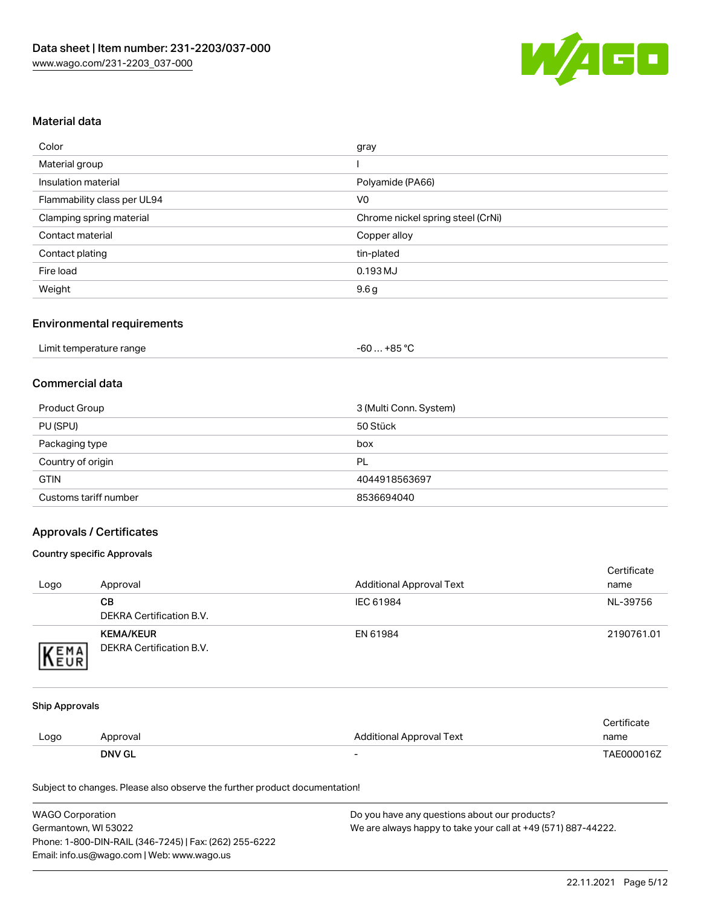

# Material data

| Color                       | gray                              |
|-----------------------------|-----------------------------------|
| Material group              |                                   |
| Insulation material         | Polyamide (PA66)                  |
| Flammability class per UL94 | V <sub>0</sub>                    |
| Clamping spring material    | Chrome nickel spring steel (CrNi) |
| Contact material            | Copper alloy                      |
| Contact plating             | tin-plated                        |
| Fire load                   | 0.193 MJ                          |
| Weight                      | 9.6 <sub>g</sub>                  |

#### Environmental requirements

# Commercial data

| Product Group         | 3 (Multi Conn. System) |
|-----------------------|------------------------|
| PU (SPU)              | 50 Stück               |
| Packaging type        | box                    |
| Country of origin     | PL                     |
| <b>GTIN</b>           | 4044918563697          |
| Customs tariff number | 8536694040             |

# Approvals / Certificates

#### Country specific Approvals

| Logo | Approval                                     | <b>Additional Approval Text</b> | Certificate<br>name |
|------|----------------------------------------------|---------------------------------|---------------------|
|      | CВ<br>DEKRA Certification B.V.               | IEC 61984                       | NL-39756            |
| EMA  | <b>KEMA/KEUR</b><br>DEKRA Certification B.V. | EN 61984                        | 2190761.01          |

#### Ship Approvals

|      | <b>DNV GL</b> | $\overline{\phantom{0}}$ | TAE000016Z  |
|------|---------------|--------------------------|-------------|
| Logo | Approval      | Additional Approval Text | name        |
|      |               |                          | Certificate |

Subject to changes. Please also observe the further product documentation!

| <b>WAGO Corporation</b>                                | Do you have any questions about our products?                 |
|--------------------------------------------------------|---------------------------------------------------------------|
| Germantown, WI 53022                                   | We are always happy to take your call at +49 (571) 887-44222. |
| Phone: 1-800-DIN-RAIL (346-7245)   Fax: (262) 255-6222 |                                                               |
| Email: info.us@wago.com   Web: www.wago.us             |                                                               |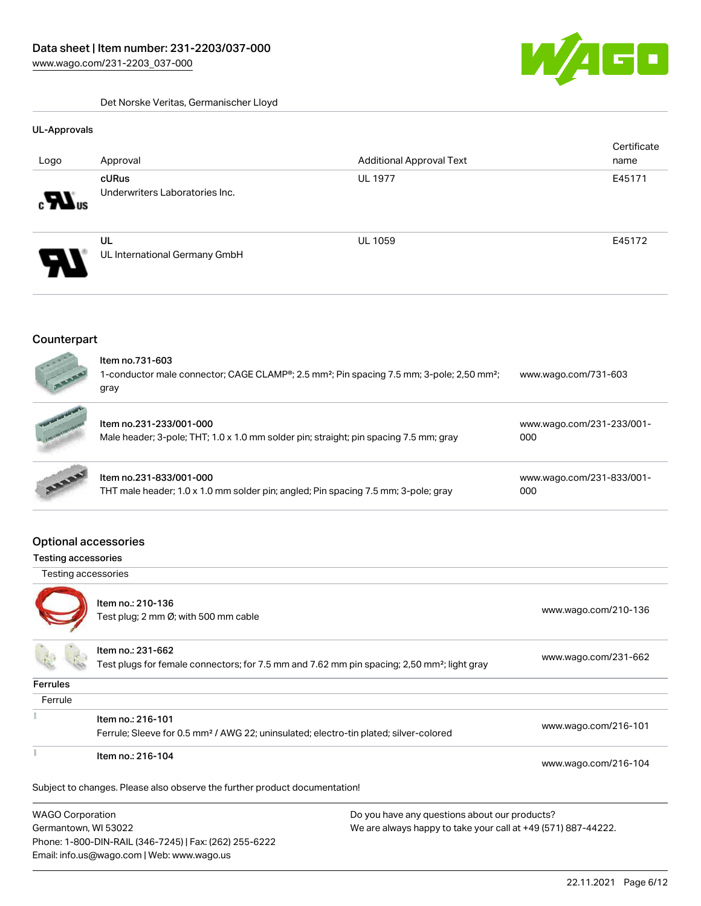GO W

Det Norske Veritas, Germanischer Lloyd

#### UL-Approvals

|                            |                                     |                                 | Certificate |
|----------------------------|-------------------------------------|---------------------------------|-------------|
| Logo                       | Approval                            | <b>Additional Approval Text</b> | name        |
|                            | cURus                               | <b>UL 1977</b>                  | E45171      |
| $\sum_{\alpha}$            | Underwriters Laboratories Inc.      |                                 |             |
| $\boldsymbol{\theta}$<br>Л | UL<br>UL International Germany GmbH | <b>UL 1059</b>                  | E45172      |

# **Counterpart**

| $\frac{1}{2}$<br>1 March | Item no.731-603<br>1-conductor male connector; CAGE CLAMP <sup>®</sup> ; 2.5 mm <sup>2</sup> ; Pin spacing 7.5 mm; 3-pole; 2,50 mm <sup>2</sup> ;<br>qrav | www.wago.com/731-603 |  |
|--------------------------|-----------------------------------------------------------------------------------------------------------------------------------------------------------|----------------------|--|
|                          |                                                                                                                                                           |                      |  |

|              | Item no.231-233/001-000<br>Male header; 3-pole; THT; 1.0 x 1.0 mm solder pin; straight; pin spacing 7.5 mm; gray | www.wago.com/231-233/001-<br>000 |
|--------------|------------------------------------------------------------------------------------------------------------------|----------------------------------|
| <b>AND R</b> | Item no.231-833/001-000<br>$TUT$ male header 1.0 v 1.0 mm solder pini angled. Din aposing 7.5 mm 2. polei are u  | www.wago.com/231-833/001-<br>nnn |

|                                                                                    | -------- |
|------------------------------------------------------------------------------------|----------|
| THT male header; 1.0 x 1.0 mm solder pin; angled; Pin spacing 7.5 mm; 3-pole; gray | 000      |

# Optional accessories

Phone: 1-800-DIN-RAIL (346-7245) | Fax: (262) 255-6222

Email: info.us@wago.com | Web: www.wago.us

# Testing accessories

| i esting accessories                                                                  |                                                                                                                              |                                               |                      |
|---------------------------------------------------------------------------------------|------------------------------------------------------------------------------------------------------------------------------|-----------------------------------------------|----------------------|
| Testing accessories                                                                   |                                                                                                                              |                                               |                      |
|                                                                                       | Item no.: 210-136<br>Test plug; 2 mm Ø; with 500 mm cable                                                                    |                                               | www.wago.com/210-136 |
|                                                                                       | Item no.: 231-662<br>Test plugs for female connectors; for 7.5 mm and 7.62 mm pin spacing; 2,50 mm <sup>2</sup> ; light gray |                                               | www.wago.com/231-662 |
| <b>Ferrules</b>                                                                       |                                                                                                                              |                                               |                      |
| Ferrule                                                                               |                                                                                                                              |                                               |                      |
|                                                                                       | Item no.: 216-101<br>Ferrule; Sleeve for 0.5 mm <sup>2</sup> / AWG 22; uninsulated; electro-tin plated; silver-colored       |                                               | www.wago.com/216-101 |
|                                                                                       | Item no.: 216-104                                                                                                            |                                               | www.wago.com/216-104 |
|                                                                                       | Subject to changes. Please also observe the further product documentation!                                                   |                                               |                      |
| <b>WAGO Corporation</b>                                                               |                                                                                                                              | Do you have any questions about our products? |                      |
| Germantown, WI 53022<br>We are always happy to take your call at +49 (571) 887-44222. |                                                                                                                              |                                               |                      |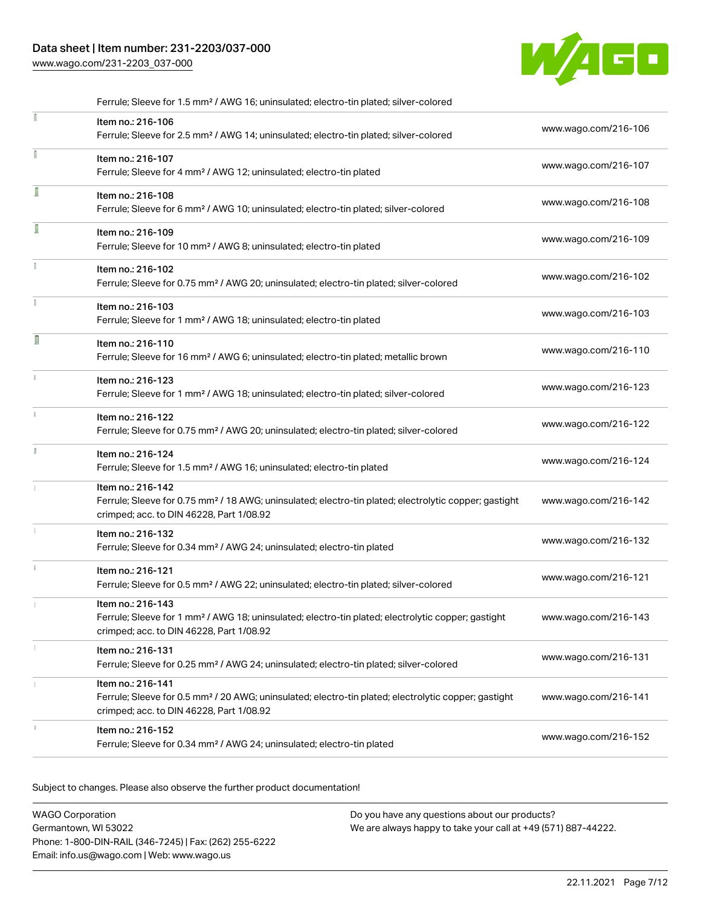# Data sheet | Item number: 231-2203/037-000

[www.wago.com/231-2203\\_037-000](http://www.wago.com/231-2203_037-000)



|    | Ferrule; Sleeve for 1.5 mm <sup>2</sup> / AWG 16; uninsulated; electro-tin plated; silver-colored                                                                                  |                      |
|----|------------------------------------------------------------------------------------------------------------------------------------------------------------------------------------|----------------------|
|    | Item no.: 216-106<br>Ferrule; Sleeve for 2.5 mm <sup>2</sup> / AWG 14; uninsulated; electro-tin plated; silver-colored                                                             | www.wago.com/216-106 |
| I  | Item no.: 216-107<br>Ferrule; Sleeve for 4 mm <sup>2</sup> / AWG 12; uninsulated; electro-tin plated                                                                               | www.wago.com/216-107 |
|    | Item no.: 216-108<br>Ferrule; Sleeve for 6 mm <sup>2</sup> / AWG 10; uninsulated; electro-tin plated; silver-colored                                                               | www.wago.com/216-108 |
| ſ  | Item no.: 216-109<br>Ferrule; Sleeve for 10 mm <sup>2</sup> / AWG 8; uninsulated; electro-tin plated                                                                               | www.wago.com/216-109 |
|    | Item no.: 216-102<br>Ferrule; Sleeve for 0.75 mm <sup>2</sup> / AWG 20; uninsulated; electro-tin plated; silver-colored                                                            | www.wago.com/216-102 |
|    | Item no.: 216-103<br>Ferrule; Sleeve for 1 mm <sup>2</sup> / AWG 18; uninsulated; electro-tin plated                                                                               | www.wago.com/216-103 |
| ı  | Item no.: 216-110<br>Ferrule; Sleeve for 16 mm <sup>2</sup> / AWG 6; uninsulated; electro-tin plated; metallic brown                                                               | www.wago.com/216-110 |
|    | Item no.: 216-123<br>Ferrule; Sleeve for 1 mm <sup>2</sup> / AWG 18; uninsulated; electro-tin plated; silver-colored                                                               | www.wago.com/216-123 |
| î. | Item no.: 216-122<br>Ferrule; Sleeve for 0.75 mm <sup>2</sup> / AWG 20; uninsulated; electro-tin plated; silver-colored                                                            | www.wago.com/216-122 |
| Ĭ. | Item no.: 216-124<br>Ferrule; Sleeve for 1.5 mm <sup>2</sup> / AWG 16; uninsulated; electro-tin plated                                                                             | www.wago.com/216-124 |
|    | Item no.: 216-142<br>Ferrule; Sleeve for 0.75 mm <sup>2</sup> / 18 AWG; uninsulated; electro-tin plated; electrolytic copper; gastight<br>crimped; acc. to DIN 46228, Part 1/08.92 | www.wago.com/216-142 |
|    | Item no.: 216-132<br>Ferrule; Sleeve for 0.34 mm <sup>2</sup> / AWG 24; uninsulated; electro-tin plated                                                                            | www.wago.com/216-132 |
| i. | Item no.: 216-121<br>Ferrule; Sleeve for 0.5 mm <sup>2</sup> / AWG 22; uninsulated; electro-tin plated; silver-colored                                                             | www.wago.com/216-121 |
|    | Item no.: 216-143<br>Ferrule; Sleeve for 1 mm <sup>2</sup> / AWG 18; uninsulated; electro-tin plated; electrolytic copper; gastight<br>crimped; acc. to DIN 46228, Part 1/08.92    | www.wago.com/216-143 |
|    | Item no.: 216-131<br>Ferrule; Sleeve for 0.25 mm <sup>2</sup> / AWG 24; uninsulated; electro-tin plated; silver-colored                                                            | www.wago.com/216-131 |
|    | Item no.: 216-141<br>Ferrule; Sleeve for 0.5 mm <sup>2</sup> / 20 AWG; uninsulated; electro-tin plated; electrolytic copper; gastight<br>crimped; acc. to DIN 46228, Part 1/08.92  | www.wago.com/216-141 |
|    | Item no.: 216-152<br>Ferrule; Sleeve for 0.34 mm <sup>2</sup> / AWG 24; uninsulated; electro-tin plated                                                                            | www.wago.com/216-152 |
|    |                                                                                                                                                                                    |                      |

Subject to changes. Please also observe the further product documentation!

| WAGO Corporation                                       | Do you have any questions about our products?                 |
|--------------------------------------------------------|---------------------------------------------------------------|
| Germantown, WI 53022                                   | We are always happy to take your call at +49 (571) 887-44222. |
| Phone: 1-800-DIN-RAIL (346-7245)   Fax: (262) 255-6222 |                                                               |
| Email: info.us@wago.com   Web: www.wago.us             |                                                               |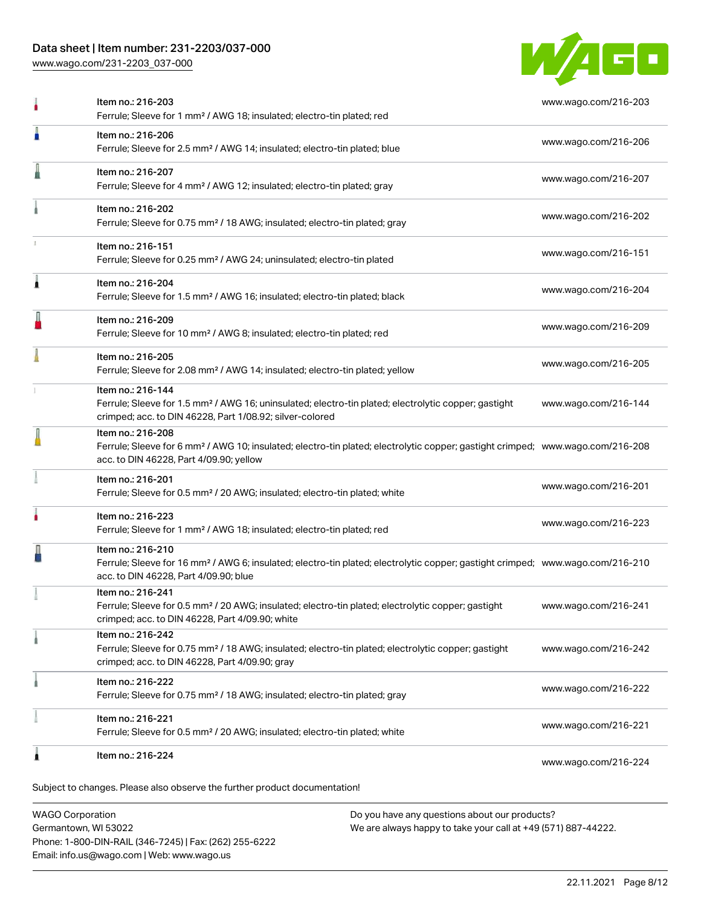# Data sheet | Item number: 231-2203/037-000

[www.wago.com/231-2203\\_037-000](http://www.wago.com/231-2203_037-000)



|   | Item no.: 216-203<br>Ferrule; Sleeve for 1 mm <sup>2</sup> / AWG 18; insulated; electro-tin plated; red                                                                                                    | www.wago.com/216-203 |
|---|------------------------------------------------------------------------------------------------------------------------------------------------------------------------------------------------------------|----------------------|
| п | Item no.: 216-206<br>Ferrule; Sleeve for 2.5 mm <sup>2</sup> / AWG 14; insulated; electro-tin plated; blue                                                                                                 | www.wago.com/216-206 |
|   | Item no.: 216-207<br>Ferrule; Sleeve for 4 mm <sup>2</sup> / AWG 12; insulated; electro-tin plated; gray                                                                                                   | www.wago.com/216-207 |
|   | Item no.: 216-202<br>Ferrule; Sleeve for 0.75 mm <sup>2</sup> / 18 AWG; insulated; electro-tin plated; gray                                                                                                | www.wago.com/216-202 |
|   | Item no.: 216-151<br>Ferrule; Sleeve for 0.25 mm <sup>2</sup> / AWG 24; uninsulated; electro-tin plated                                                                                                    | www.wago.com/216-151 |
| 1 | Item no.: 216-204<br>Ferrule; Sleeve for 1.5 mm <sup>2</sup> / AWG 16; insulated; electro-tin plated; black                                                                                                | www.wago.com/216-204 |
|   | Item no.: 216-209<br>Ferrule; Sleeve for 10 mm <sup>2</sup> / AWG 8; insulated; electro-tin plated; red                                                                                                    | www.wago.com/216-209 |
|   | Item no.: 216-205<br>Ferrule; Sleeve for 2.08 mm <sup>2</sup> / AWG 14; insulated; electro-tin plated; yellow                                                                                              | www.wago.com/216-205 |
|   | Item no.: 216-144<br>Ferrule; Sleeve for 1.5 mm <sup>2</sup> / AWG 16; uninsulated; electro-tin plated; electrolytic copper; gastight<br>crimped; acc. to DIN 46228, Part 1/08.92; silver-colored          | www.wago.com/216-144 |
|   | Item no.: 216-208<br>Ferrule; Sleeve for 6 mm <sup>2</sup> / AWG 10; insulated; electro-tin plated; electrolytic copper; gastight crimped; www.wago.com/216-208<br>acc. to DIN 46228, Part 4/09.90; yellow |                      |
|   | Item no.: 216-201<br>Ferrule; Sleeve for 0.5 mm <sup>2</sup> / 20 AWG; insulated; electro-tin plated; white                                                                                                | www.wago.com/216-201 |
|   | Item no.: 216-223<br>Ferrule; Sleeve for 1 mm <sup>2</sup> / AWG 18; insulated; electro-tin plated; red                                                                                                    | www.wago.com/216-223 |
|   | Item no.: 216-210<br>Ferrule; Sleeve for 16 mm <sup>2</sup> / AWG 6; insulated; electro-tin plated; electrolytic copper; gastight crimped; www.wago.com/216-210<br>acc. to DIN 46228, Part 4/09.90; blue   |                      |
|   | Item no.: 216-241<br>Ferrule; Sleeve for 0.5 mm <sup>2</sup> / 20 AWG; insulated; electro-tin plated; electrolytic copper; gastight<br>crimped; acc. to DIN 46228, Part 4/09.90; white                     | www.wago.com/216-241 |
|   | Item no.: 216-242<br>Ferrule; Sleeve for 0.75 mm <sup>2</sup> / 18 AWG; insulated; electro-tin plated; electrolytic copper; gastight<br>crimped; acc. to DIN 46228, Part 4/09.90; gray                     | www.wago.com/216-242 |
|   | Item no.: 216-222<br>Ferrule; Sleeve for 0.75 mm <sup>2</sup> / 18 AWG; insulated; electro-tin plated; gray                                                                                                | www.wago.com/216-222 |
|   | Item no.: 216-221<br>Ferrule; Sleeve for 0.5 mm <sup>2</sup> / 20 AWG; insulated; electro-tin plated; white                                                                                                | www.wago.com/216-221 |
| Ω | Item no.: 216-224                                                                                                                                                                                          | www.wago.com/216-224 |

WAGO Corporation Germantown, WI 53022 Phone: 1-800-DIN-RAIL (346-7245) | Fax: (262) 255-6222 Email: info.us@wago.com | Web: www.wago.us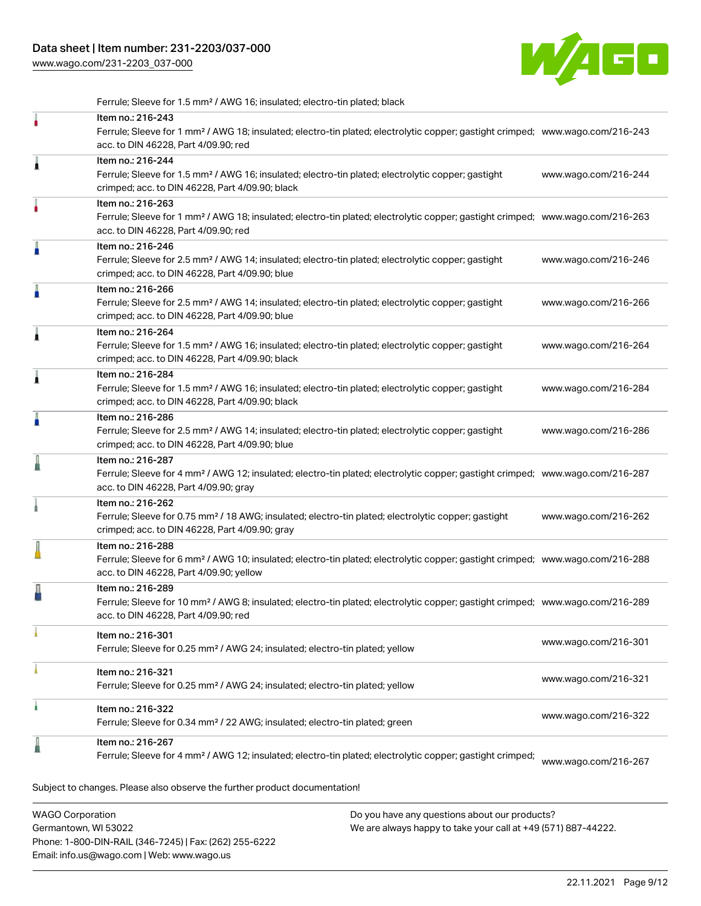[www.wago.com/231-2203\\_037-000](http://www.wago.com/231-2203_037-000)



Ferrule; Sleeve for 1.5 mm² / AWG 16; insulated; electro-tin plated; black

|   | Item no.: 216-243<br>Ferrule; Sleeve for 1 mm <sup>2</sup> / AWG 18; insulated; electro-tin plated; electrolytic copper; gastight crimped; www.wago.com/216-243<br>acc. to DIN 46228, Part 4/09.90; red                  |                      |
|---|--------------------------------------------------------------------------------------------------------------------------------------------------------------------------------------------------------------------------|----------------------|
| Â | Item no.: 216-244<br>Ferrule; Sleeve for 1.5 mm <sup>2</sup> / AWG 16; insulated; electro-tin plated; electrolytic copper; gastight<br>crimped; acc. to DIN 46228, Part 4/09.90; black                                   | www.wago.com/216-244 |
|   | Item no.: 216-263<br>Ferrule; Sleeve for 1 mm <sup>2</sup> / AWG 18; insulated; electro-tin plated; electrolytic copper; gastight crimped; www.wago.com/216-263<br>acc. to DIN 46228, Part 4/09.90; red                  |                      |
| Å | Item no.: 216-246<br>Ferrule; Sleeve for 2.5 mm <sup>2</sup> / AWG 14; insulated; electro-tin plated; electrolytic copper; gastight<br>crimped; acc. to DIN 46228, Part 4/09.90; blue                                    | www.wago.com/216-246 |
|   | Item no.: 216-266<br>Ferrule; Sleeve for 2.5 mm <sup>2</sup> / AWG 14; insulated; electro-tin plated; electrolytic copper; gastight<br>crimped; acc. to DIN 46228, Part 4/09.90; blue                                    | www.wago.com/216-266 |
| 1 | Item no.: 216-264<br>Ferrule; Sleeve for 1.5 mm <sup>2</sup> / AWG 16; insulated; electro-tin plated; electrolytic copper; gastight<br>crimped; acc. to DIN 46228, Part 4/09.90; black                                   | www.wago.com/216-264 |
| 1 | Item no.: 216-284<br>Ferrule; Sleeve for 1.5 mm <sup>2</sup> / AWG 16; insulated; electro-tin plated; electrolytic copper; gastight<br>crimped; acc. to DIN 46228, Part 4/09.90; black                                   | www.wago.com/216-284 |
| A | Item no.: 216-286<br>Ferrule; Sleeve for 2.5 mm <sup>2</sup> / AWG 14; insulated; electro-tin plated; electrolytic copper; gastight<br>crimped; acc. to DIN 46228, Part 4/09.90; blue                                    | www.wago.com/216-286 |
|   | Item no.: 216-287<br>Ferrule; Sleeve for 4 mm <sup>2</sup> / AWG 12; insulated; electro-tin plated; electrolytic copper; gastight crimped; www.wago.com/216-287<br>acc. to DIN 46228, Part 4/09.90; gray                 |                      |
|   | Item no.: 216-262<br>Ferrule; Sleeve for 0.75 mm <sup>2</sup> / 18 AWG; insulated; electro-tin plated; electrolytic copper; gastight<br>crimped; acc. to DIN 46228, Part 4/09.90; gray                                   | www.wago.com/216-262 |
|   | Item no.: 216-288<br>Ferrule; Sleeve for 6 mm <sup>2</sup> / AWG 10; insulated; electro-tin plated; electrolytic copper; gastight crimped; www.wago.com/216-288<br>acc. to DIN 46228, Part 4/09.90; yellow               |                      |
|   | Item no.: 216-289<br>Ferrule; Sleeve for 10 mm <sup>2</sup> / AWG 8; insulated; electro-tin plated; electrolytic copper; gastight crimped; www.wago.com/216-289<br>acc. to DIN 46228, Part 4/09.90; red                  |                      |
|   | Item no.: 216-301<br>Ferrule; Sleeve for 0.25 mm <sup>2</sup> / AWG 24; insulated; electro-tin plated; yellow                                                                                                            | www.wago.com/216-301 |
|   | Item no.: 216-321<br>Ferrule; Sleeve for 0.25 mm <sup>2</sup> / AWG 24; insulated; electro-tin plated; yellow                                                                                                            | www.wago.com/216-321 |
| ۸ | Item no.: 216-322<br>Ferrule; Sleeve for 0.34 mm <sup>2</sup> / 22 AWG; insulated; electro-tin plated; green                                                                                                             | www.wago.com/216-322 |
|   | Item no.: 216-267<br>Ferrule; Sleeve for 4 mm <sup>2</sup> / AWG 12; insulated; electro-tin plated; electrolytic copper; gastight crimped;<br>Subject to changes. Please also observe the further product documentation! | www.wago.com/216-267 |
|   |                                                                                                                                                                                                                          |                      |

WAGO Corporation Germantown, WI 53022 Phone: 1-800-DIN-RAIL (346-7245) | Fax: (262) 255-6222 Email: info.us@wago.com | Web: www.wago.us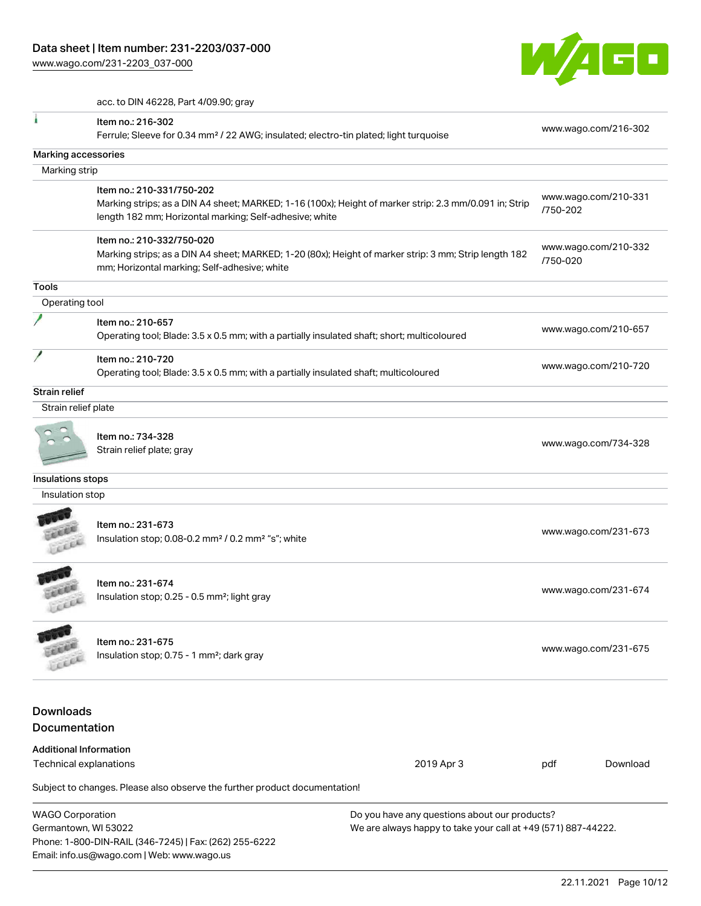[www.wago.com/231-2203\\_037-000](http://www.wago.com/231-2203_037-000)

Email: info.us@wago.com | Web: www.wago.us



acc. to DIN 46228, Part 4/09.90; gray

|                                                 | Item no.: 216-302<br>Ferrule; Sleeve for 0.34 mm <sup>2</sup> / 22 AWG; insulated; electro-tin plated; light turquoise                                                                         |                                                                                                                |          | www.wago.com/216-302 |
|-------------------------------------------------|------------------------------------------------------------------------------------------------------------------------------------------------------------------------------------------------|----------------------------------------------------------------------------------------------------------------|----------|----------------------|
|                                                 |                                                                                                                                                                                                |                                                                                                                |          |                      |
| <b>Marking accessories</b>                      |                                                                                                                                                                                                |                                                                                                                |          |                      |
| Marking strip                                   |                                                                                                                                                                                                |                                                                                                                |          |                      |
|                                                 | Item no.: 210-331/750-202<br>Marking strips; as a DIN A4 sheet; MARKED; 1-16 (100x); Height of marker strip: 2.3 mm/0.091 in; Strip<br>length 182 mm; Horizontal marking; Self-adhesive; white |                                                                                                                | /750-202 | www.wago.com/210-331 |
|                                                 | Item no.: 210-332/750-020<br>Marking strips; as a DIN A4 sheet; MARKED; 1-20 (80x); Height of marker strip: 3 mm; Strip length 182<br>mm; Horizontal marking; Self-adhesive; white             |                                                                                                                | /750-020 | www.wago.com/210-332 |
| <b>Tools</b>                                    |                                                                                                                                                                                                |                                                                                                                |          |                      |
| Operating tool                                  |                                                                                                                                                                                                |                                                                                                                |          |                      |
|                                                 | Item no.: 210-657<br>Operating tool; Blade: 3.5 x 0.5 mm; with a partially insulated shaft; short; multicoloured                                                                               |                                                                                                                |          | www.wago.com/210-657 |
|                                                 | Item no.: 210-720<br>Operating tool; Blade: 3.5 x 0.5 mm; with a partially insulated shaft; multicoloured                                                                                      |                                                                                                                |          | www.wago.com/210-720 |
| <b>Strain relief</b>                            |                                                                                                                                                                                                |                                                                                                                |          |                      |
| Strain relief plate                             |                                                                                                                                                                                                |                                                                                                                |          |                      |
|                                                 | Item no.: 734-328<br>Strain relief plate; gray                                                                                                                                                 |                                                                                                                |          | www.wago.com/734-328 |
| Insulations stops                               |                                                                                                                                                                                                |                                                                                                                |          |                      |
| Insulation stop                                 |                                                                                                                                                                                                |                                                                                                                |          |                      |
|                                                 | Item no.: 231-673<br>Insulation stop; 0.08-0.2 mm <sup>2</sup> / 0.2 mm <sup>2</sup> "s"; white                                                                                                |                                                                                                                |          | www.wago.com/231-673 |
| FER                                             | Item no.: 231-674<br>Insulation stop; 0.25 - 0.5 mm <sup>2</sup> ; light gray                                                                                                                  |                                                                                                                |          | www.wago.com/231-674 |
|                                                 | Item no.: 231-675<br>Insulation stop; 0.75 - 1 mm <sup>2</sup> ; dark gray                                                                                                                     |                                                                                                                |          | www.wago.com/231-675 |
| <b>Downloads</b><br><b>Documentation</b>        |                                                                                                                                                                                                |                                                                                                                |          |                      |
| <b>Additional Information</b>                   |                                                                                                                                                                                                |                                                                                                                |          |                      |
| Technical explanations                          |                                                                                                                                                                                                | 2019 Apr 3                                                                                                     | pdf      | Download             |
|                                                 | Subject to changes. Please also observe the further product documentation!                                                                                                                     |                                                                                                                |          |                      |
| <b>WAGO Corporation</b><br>Germantown, WI 53022 | Phone: 1-800-DIN-RAIL (346-7245)   Fax: (262) 255-6222                                                                                                                                         | Do you have any questions about our products?<br>We are always happy to take your call at +49 (571) 887-44222. |          |                      |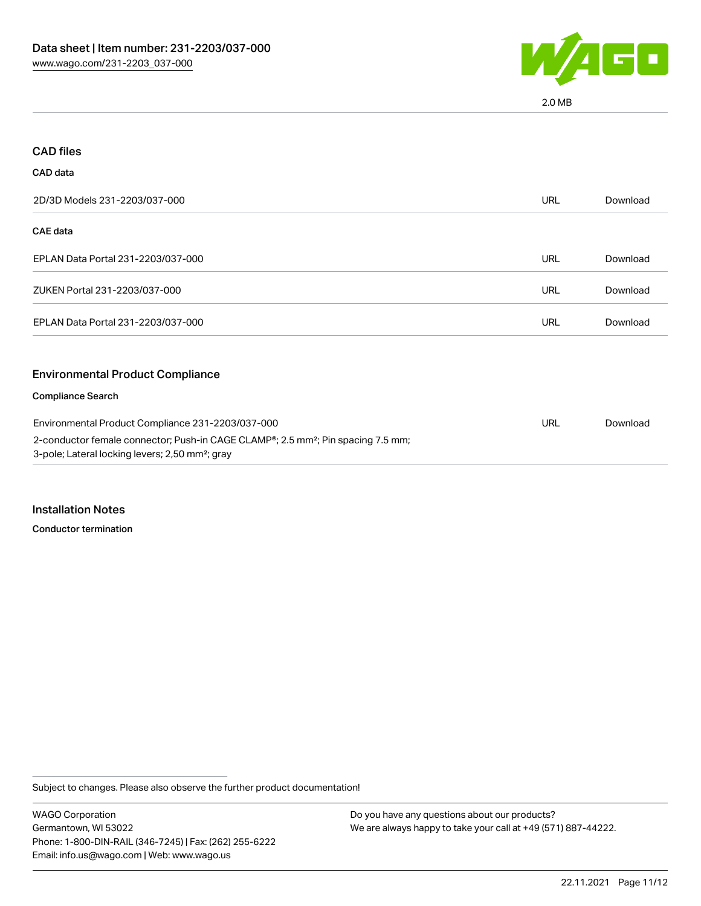

2.0 MB

| <b>CAD files</b>                                                                                                                                            |            |          |
|-------------------------------------------------------------------------------------------------------------------------------------------------------------|------------|----------|
| CAD data                                                                                                                                                    |            |          |
| 2D/3D Models 231-2203/037-000                                                                                                                               | <b>URL</b> | Download |
| CAE data                                                                                                                                                    |            |          |
| EPLAN Data Portal 231-2203/037-000                                                                                                                          | <b>URL</b> | Download |
| ZUKEN Portal 231-2203/037-000                                                                                                                               | <b>URL</b> | Download |
| EPLAN Data Portal 231-2203/037-000                                                                                                                          | <b>URL</b> | Download |
| <b>Environmental Product Compliance</b>                                                                                                                     |            |          |
| <b>Compliance Search</b>                                                                                                                                    |            |          |
| Environmental Product Compliance 231-2203/037-000                                                                                                           |            | Download |
| 2-conductor female connector; Push-in CAGE CLAMP®; 2.5 mm <sup>2</sup> ; Pin spacing 7.5 mm;<br>3-pole; Lateral locking levers; 2,50 mm <sup>2</sup> ; gray |            |          |

Installation Notes

Conductor termination

Subject to changes. Please also observe the further product documentation!

WAGO Corporation Germantown, WI 53022 Phone: 1-800-DIN-RAIL (346-7245) | Fax: (262) 255-6222 Email: info.us@wago.com | Web: www.wago.us